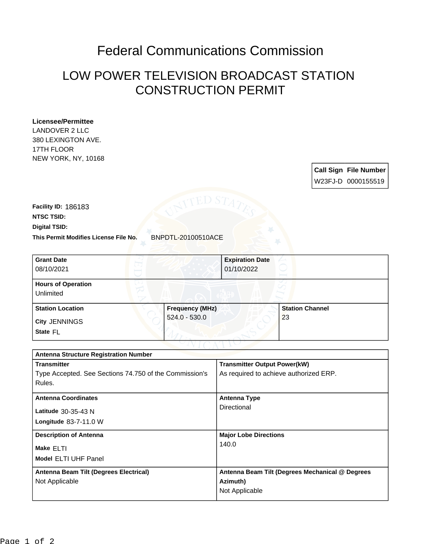## Federal Communications Commission

## LOW POWER TELEVISION BROADCAST STATION CONSTRUCTION PERMIT

## **Licensee/Permittee**

LANDOVER 2 LLC 380 LEXINGTON AVE. 17TH FLOOR NEW YORK, NY, 10168

> **Call Sign File Number** W23FJ-D 0000155519

**This Permit Modifies License File No.** BNPDTL-20100510ACE **Digital TSID: NTSC TSID: Facility ID:** 186183

| <b>Grant Date</b><br>08/10/2021        |                        | <b>Expiration Date</b><br>01/10/2022 |
|----------------------------------------|------------------------|--------------------------------------|
| <b>Hours of Operation</b><br>Unlimited |                        |                                      |
| <b>Station Location</b>                | <b>Frequency (MHz)</b> | <b>Station Channel</b>               |
| <b>City JENNINGS</b><br>State FL       | $524.0 - 530.0$        | 23                                   |

| <b>Antenna Structure Registration Number</b>           |                                                 |  |  |
|--------------------------------------------------------|-------------------------------------------------|--|--|
| <b>Transmitter</b>                                     | <b>Transmitter Output Power(kW)</b>             |  |  |
| Type Accepted. See Sections 74.750 of the Commission's | As required to achieve authorized ERP.          |  |  |
| Rules.                                                 |                                                 |  |  |
| <b>Antenna Coordinates</b>                             | <b>Antenna Type</b>                             |  |  |
|                                                        | Directional                                     |  |  |
| Latitude $30-35-43$ N                                  |                                                 |  |  |
| <b>Longitude 83-7-11.0 W</b>                           |                                                 |  |  |
| <b>Description of Antenna</b>                          | <b>Major Lobe Directions</b>                    |  |  |
| Make ELTI                                              | 140.0                                           |  |  |
| <b>Model ELTI UHF Panel</b>                            |                                                 |  |  |
|                                                        |                                                 |  |  |
| Antenna Beam Tilt (Degrees Electrical)                 | Antenna Beam Tilt (Degrees Mechanical @ Degrees |  |  |
| Not Applicable                                         | Azimuth)                                        |  |  |
|                                                        | Not Applicable                                  |  |  |
|                                                        |                                                 |  |  |